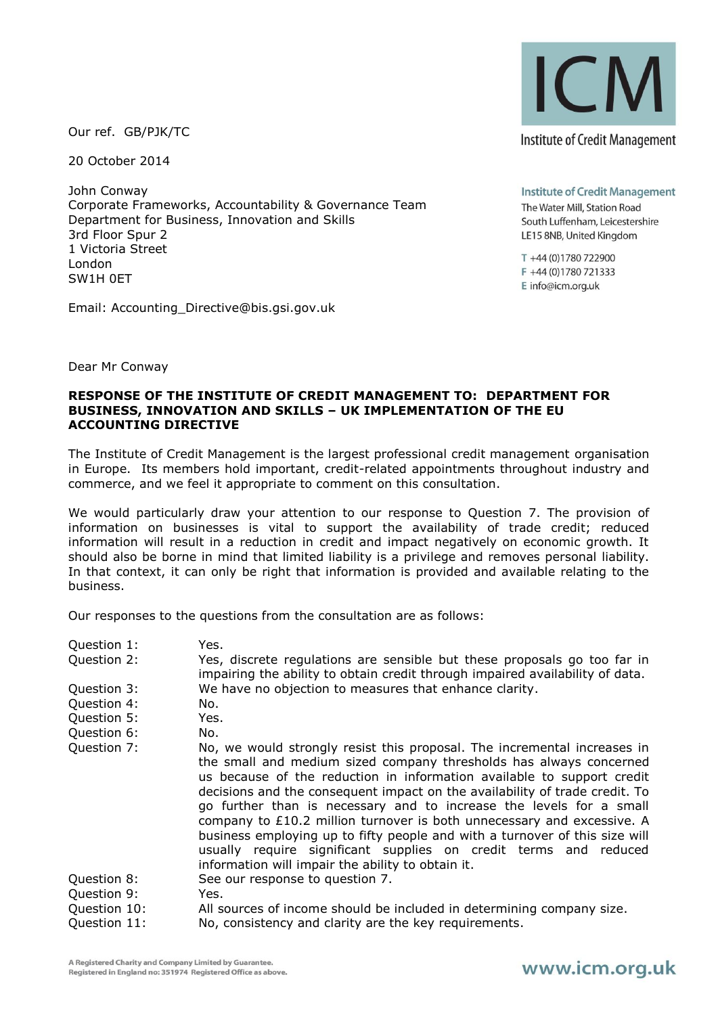Our ref. GB/PJK/TC

20 October 2014

John Conway Corporate Frameworks, Accountability & Governance Team Department for Business, Innovation and Skills 3rd Floor Spur 2 1 Victoria Street London SW1H 0ET

Email: Accounting\_Directive@bis.gsi.gov.uk



**Institute of Credit Management** The Water Mill, Station Road South Luffenham, Leicestershire LE15 8NB, United Kingdom

T +44 (0)1780 722900 F +44 (0)1780 721333 E info@icm.org.uk

Dear Mr Conway

## **RESPONSE OF THE INSTITUTE OF CREDIT MANAGEMENT TO: DEPARTMENT FOR BUSINESS, INNOVATION AND SKILLS – UK IMPLEMENTATION OF THE EU ACCOUNTING DIRECTIVE**

The Institute of Credit Management is the largest professional credit management organisation in Europe. Its members hold important, credit-related appointments throughout industry and commerce, and we feel it appropriate to comment on this consultation.

We would particularly draw your attention to our response to Question 7. The provision of information on businesses is vital to support the availability of trade credit; reduced information will result in a reduction in credit and impact negatively on economic growth. It should also be borne in mind that limited liability is a privilege and removes personal liability. In that context, it can only be right that information is provided and available relating to the business.

Our responses to the questions from the consultation are as follows:

- Question 1: Yes.
- Question 2: Yes, discrete regulations are sensible but these proposals go too far in impairing the ability to obtain credit through impaired availability of data. Question 3: We have no objection to measures that enhance clarity.
- Question 4: No.
- Question 5: Yes.
- Question 6: No.
- Question 7: No, we would strongly resist this proposal. The incremental increases in the small and medium sized company thresholds has always concerned us because of the reduction in information available to support credit decisions and the consequent impact on the availability of trade credit. To go further than is necessary and to increase the levels for a small company to £10.2 million turnover is both unnecessary and excessive. A business employing up to fifty people and with a turnover of this size will usually require significant supplies on credit terms and reduced information will impair the ability to obtain it. Question 8: See our response to question 7.
- Question 9: Yes.
- Question 10: All sources of income should be included in determining company size.
- Question 11: No, consistency and clarity are the key requirements.

## www.icm.org.uk